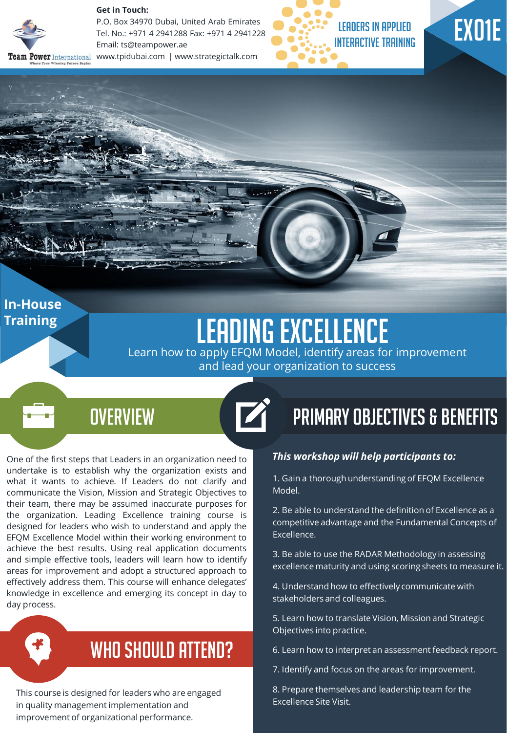

**In-House Training** 

#### **Get in Touch:**

P.O. Box 34970 Dubai, United Arab Emirates Tel. No.: +971 4 2941288 Fax: +971 4 2941228 Email: ts@teampower.ae Team Power International www.tpidubai.com | www.strategictalk.com



# EX01E

## Leading Excellence

7

Learn how to apply EFQM Model, identify areas for improvement and lead your organization to success

### **OVERVIEW**

One of the first steps that Leaders in an organization need to undertake is to establish why the organization exists and what it wants to achieve. If Leaders do not clarify and communicate the Vision, Mission and Strategic Objectives to their team, there may be assumed inaccurate purposes for the organization. Leading Excellence training course is designed for leaders who wish to understand and apply the EFQM Excellence Model within their working environment to achieve the best results. Using real application documents and simple effective tools, leaders will learn how to identify areas for improvement and adopt a structured approach to effectively address them. This course will enhance delegates' knowledge in excellence and emerging its concept in day to day process.



### WHO SHOULD ATTEND?

This course is designed for leaders who are engaged in quality management implementation and improvement of organizational performance.

### Primary Objectives & Benefits

#### *This workshop will help participants to:*

1. Gain a thorough understanding of EFQM Excellence Model.

2. Be able to understand the definition of Excellence as a competitive advantage and the Fundamental Concepts of Excellence.

3. Be able to use the RADAR Methodology in assessing excellence maturity and using scoring sheets to measure it.

4. Understand how to effectively communicate with stakeholders and colleagues.

5. Learn how to translate Vision, Mission and Strategic Objectives into practice.

6. Learn how to interpret an assessment feedback report.

7. Identify and focus on the areas for improvement.

8. Prepare themselves and leadership team for the Excellence Site Visit.